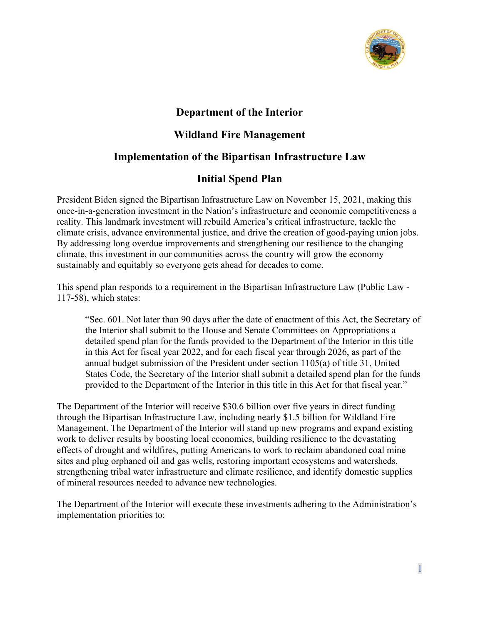

# **Department of the Interior**

# **Wildland Fire Management**

# **Implementation of the Bipartisan Infrastructure Law**

# **Initial Spend Plan**

President Biden signed the Bipartisan Infrastructure Law on November 15, 2021, making this once-in-a-generation investment in the Nation's infrastructure and economic competitiveness a reality. This landmark investment will rebuild America's critical infrastructure, tackle the climate crisis, advance environmental justice, and drive the creation of good-paying union jobs. By addressing long overdue improvements and strengthening our resilience to the changing climate, this investment in our communities across the country will grow the economy sustainably and equitably so everyone gets ahead for decades to come.

This spend plan responds to a requirement in the Bipartisan Infrastructure Law (Public Law - 117-58), which states:

"Sec. 601. Not later than 90 days after the date of enactment of this Act, the Secretary of the Interior shall submit to the House and Senate Committees on Appropriations a detailed spend plan for the funds provided to the Department of the Interior in this title in this Act for fiscal year 2022, and for each fiscal year through 2026, as part of the annual budget submission of the President under section 1105(a) of title 31, United States Code, the Secretary of the Interior shall submit a detailed spend plan for the funds provided to the Department of the Interior in this title in this Act for that fiscal year."

The Department of the Interior will receive \$30.6 billion over five years in direct funding through the Bipartisan Infrastructure Law, including nearly \$1.5 billion for Wildland Fire Management. The Department of the Interior will stand up new programs and expand existing work to deliver results by boosting local economies, building resilience to the devastating effects of drought and wildfires, putting Americans to work to reclaim abandoned coal mine sites and plug orphaned oil and gas wells, restoring important ecosystems and watersheds, strengthening tribal water infrastructure and climate resilience, and identify domestic supplies of mineral resources needed to advance new technologies.

The Department of the Interior will execute these investments adhering to the Administration's implementation priorities to: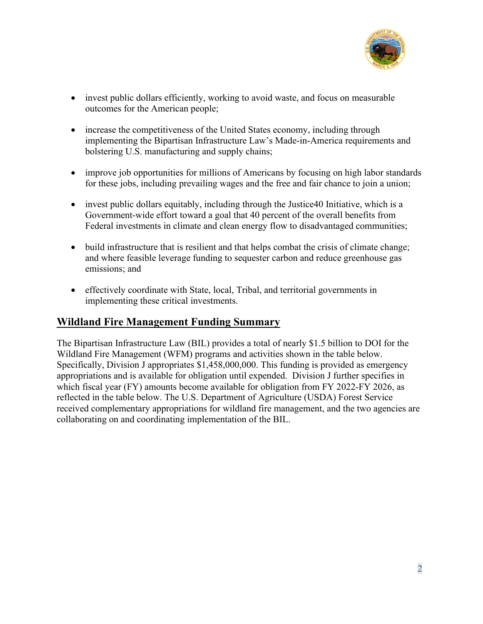

- invest public dollars efficiently, working to avoid waste, and focus on measurable outcomes for the American people;
- increase the competitiveness of the United States economy, including through implementing the Bipartisan Infrastructure Law's Made-in-America requirements and bolstering U.S. manufacturing and supply chains;
- improve job opportunities for millions of Americans by focusing on high labor standards for these jobs, including prevailing wages and the free and fair chance to join a union;
- invest public dollars equitably, including through the Justice 40 Initiative, which is a Government-wide effort toward a goal that 40 percent of the overall benefits from Federal investments in climate and clean energy flow to disadvantaged communities;
- build infrastructure that is resilient and that helps combat the crisis of climate change; and where feasible leverage funding to sequester carbon and reduce greenhouse gas emissions; and
- effectively coordinate with State, local, Tribal, and territorial governments in implementing these critical investments.

# **Wildland Fire Management Funding Summary**

The Bipartisan Infrastructure Law (BIL) provides a total of nearly \$1.5 billion to DOI for the Wildland Fire Management (WFM) programs and activities shown in the table below. Specifically, Division J appropriates \$1,458,000,000. This funding is provided as emergency appropriations and is available for obligation until expended. Division J further specifies in which fiscal year (FY) amounts become available for obligation from FY 2022-FY 2026, as reflected in the table below. The U.S. Department of Agriculture (USDA) Forest Service received complementary appropriations for wildland fire management, and the two agencies are collaborating on and coordinating implementation of the BIL.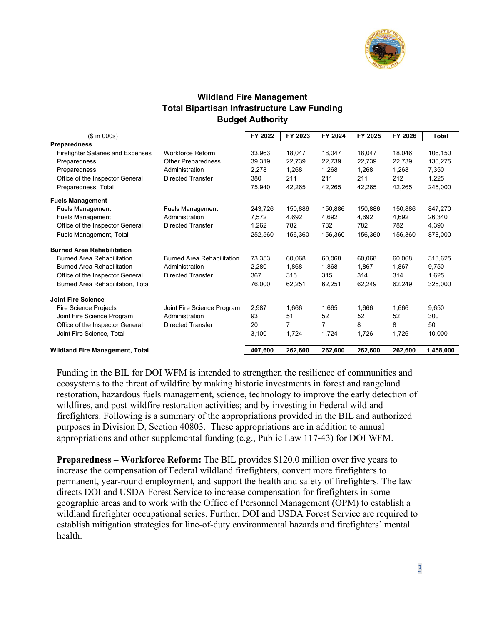

### **Wildland Fire Management Total Bipartisan Infrastructure Law Funding Budget Authority**

| (\$ in 000s)                             |                                   | FY 2022 | FY 2023 | FY 2024 | FY 2025 | FY 2026 | <b>Total</b> |
|------------------------------------------|-----------------------------------|---------|---------|---------|---------|---------|--------------|
| <b>Preparedness</b>                      |                                   |         |         |         |         |         |              |
| <b>Firefighter Salaries and Expenses</b> | <b>Workforce Reform</b>           | 33.963  | 18.047  | 18.047  | 18.047  | 18.046  | 106.150      |
| Preparedness                             | Other Preparedness                | 39,319  | 22,739  | 22,739  | 22,739  | 22,739  | 130,275      |
| Preparedness                             | Administration                    | 2,278   | 1,268   | 1,268   | 1.268   | 1.268   | 7,350        |
| Office of the Inspector General          | <b>Directed Transfer</b>          | 380     | 211     | 211     | 211     | 212     | 1,225        |
| Preparedness, Total                      |                                   | 75,940  | 42,265  | 42,265  | 42,265  | 42,265  | 245,000      |
| <b>Fuels Management</b>                  |                                   |         |         |         |         |         |              |
| <b>Fuels Management</b>                  | <b>Fuels Management</b>           | 243.726 | 150.886 | 150.886 | 150.886 | 150.886 | 847.270      |
| <b>Fuels Management</b>                  | Administration                    | 7,572   | 4,692   | 4,692   | 4,692   | 4,692   | 26,340       |
| Office of the Inspector General          | <b>Directed Transfer</b>          | 1,262   | 782     | 782     | 782     | 782     | 4,390        |
| Fuels Management, Total                  |                                   | 252,560 | 156,360 | 156,360 | 156,360 | 156,360 | 878,000      |
| <b>Burned Area Rehabilitation</b>        |                                   |         |         |         |         |         |              |
| <b>Burned Area Rehabilitation</b>        | <b>Burned Area Rehabilitation</b> | 73,353  | 60,068  | 60,068  | 60,068  | 60,068  | 313,625      |
| <b>Burned Area Rehabilitation</b>        | Administration                    | 2,280   | 1,868   | 1,868   | 1,867   | 1,867   | 9,750        |
| Office of the Inspector General          | <b>Directed Transfer</b>          | 367     | 315     | 315     | 314     | 314     | 1,625        |
| Burned Area Rehabilitation, Total        |                                   | 76,000  | 62,251  | 62,251  | 62,249  | 62,249  | 325,000      |
| <b>Joint Fire Science</b>                |                                   |         |         |         |         |         |              |
| <b>Fire Science Projects</b>             | Joint Fire Science Program        | 2,987   | 1,666   | 1,665   | 1,666   | 1,666   | 9,650        |
| Joint Fire Science Program               | Administration                    | 93      | 51      | 52      | 52      | 52      | 300          |
| Office of the Inspector General          | <b>Directed Transfer</b>          | 20      | 7       | 7       | 8       | 8       | 50           |
| Joint Fire Science, Total                |                                   | 3,100   | 1,724   | 1,724   | 1,726   | 1,726   | 10,000       |
| <b>Wildland Fire Management, Total</b>   |                                   | 407,600 | 262,600 | 262,600 | 262,600 | 262,600 | 1,458,000    |

Funding in the BIL for DOI WFM is intended to strengthen the resilience of communities and ecosystems to the threat of wildfire by making historic investments in forest and rangeland restoration, hazardous fuels management, science, technology to improve the early detection of wildfires, and post-wildfire restoration activities; and by investing in Federal wildland firefighters. Following is a summary of the appropriations provided in the BIL and authorized purposes in Division D, Section 40803. These appropriations are in addition to annual appropriations and other supplemental funding (e.g., Public Law 117-43) for DOI WFM.

**Preparedness – Workforce Reform:** The BIL provides \$120.0 million over five years to increase the compensation of Federal wildland firefighters, convert more firefighters to permanent, year-round employment, and support the health and safety of firefighters. The law directs DOI and USDA Forest Service to increase compensation for firefighters in some geographic areas and to work with the Office of Personnel Management (OPM) to establish a wildland firefighter occupational series. Further, DOI and USDA Forest Service are required to establish mitigation strategies for line-of-duty environmental hazards and firefighters' mental health.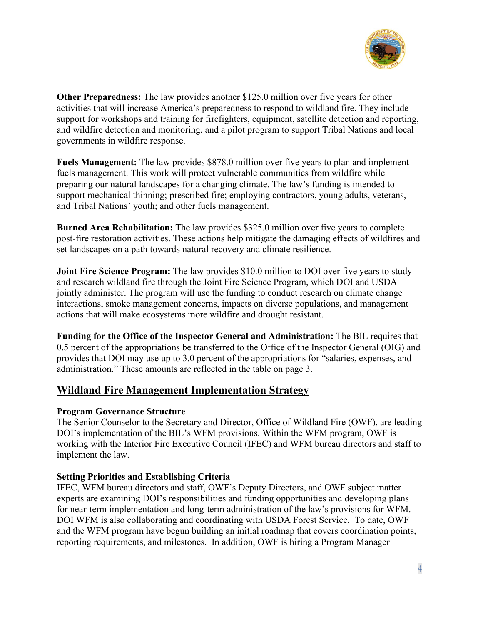

**Other Preparedness:** The law provides another \$125.0 million over five years for other activities that will increase America's preparedness to respond to wildland fire. They include support for workshops and training for firefighters, equipment, satellite detection and reporting, and wildfire detection and monitoring, and a pilot program to support Tribal Nations and local governments in wildfire response.

**Fuels Management:** The law provides \$878.0 million over five years to plan and implement fuels management. This work will protect vulnerable communities from wildfire while preparing our natural landscapes for a changing climate. The law's funding is intended to support mechanical thinning; prescribed fire; employing contractors, young adults, veterans, and Tribal Nations' youth; and other fuels management.

**Burned Area Rehabilitation:** The law provides \$325.0 million over five years to complete post-fire restoration activities. These actions help mitigate the damaging effects of wildfires and set landscapes on a path towards natural recovery and climate resilience.

**Joint Fire Science Program:** The law provides \$10.0 million to DOI over five years to study and research wildland fire through the Joint Fire Science Program, which DOI and USDA jointly administer. The program will use the funding to conduct research on climate change interactions, smoke management concerns, impacts on diverse populations, and management actions that will make ecosystems more wildfire and drought resistant.

**Funding for the Office of the Inspector General and Administration:** The BIL requires that 0.5 percent of the appropriations be transferred to the Office of the Inspector General (OIG) and provides that DOI may use up to 3.0 percent of the appropriations for "salaries, expenses, and administration." These amounts are reflected in the table on page 3.

## **Wildland Fire Management Implementation Strategy**

### **Program Governance Structure**

The Senior Counselor to the Secretary and Director, Office of Wildland Fire (OWF), are leading DOI's implementation of the BIL's WFM provisions. Within the WFM program, OWF is working with the Interior Fire Executive Council (IFEC) and WFM bureau directors and staff to implement the law.

### **Setting Priorities and Establishing Criteria**

IFEC, WFM bureau directors and staff, OWF's Deputy Directors, and OWF subject matter experts are examining DOI's responsibilities and funding opportunities and developing plans for near-term implementation and long-term administration of the law's provisions for WFM. DOI WFM is also collaborating and coordinating with USDA Forest Service. To date, OWF and the WFM program have begun building an initial roadmap that covers coordination points, reporting requirements, and milestones. In addition, OWF is hiring a Program Manager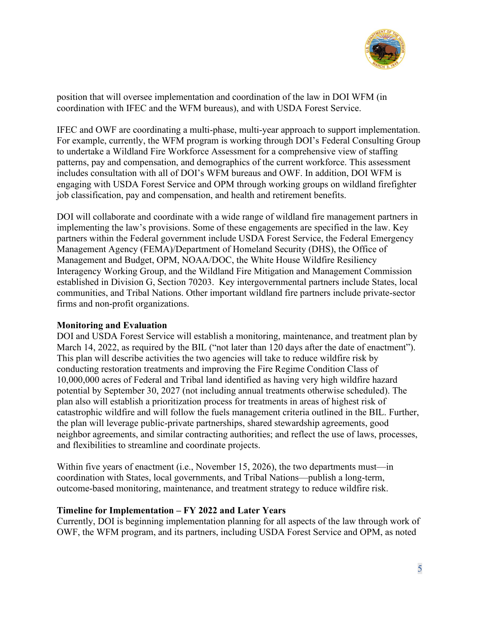

position that will oversee implementation and coordination of the law in DOI WFM (in coordination with IFEC and the WFM bureaus), and with USDA Forest Service.

IFEC and OWF are coordinating a multi-phase, multi-year approach to support implementation. For example, currently, the WFM program is working through DOI's Federal Consulting Group to undertake a Wildland Fire Workforce Assessment for a comprehensive view of staffing patterns, pay and compensation, and demographics of the current workforce. This assessment includes consultation with all of DOI's WFM bureaus and OWF. In addition, DOI WFM is engaging with USDA Forest Service and OPM through working groups on wildland firefighter job classification, pay and compensation, and health and retirement benefits.

DOI will collaborate and coordinate with a wide range of wildland fire management partners in implementing the law's provisions. Some of these engagements are specified in the law. Key partners within the Federal government include USDA Forest Service, the Federal Emergency Management Agency (FEMA)/Department of Homeland Security (DHS), the Office of Management and Budget, OPM, NOAA/DOC, the White House Wildfire Resiliency Interagency Working Group, and the Wildland Fire Mitigation and Management Commission established in Division G, Section 70203. Key intergovernmental partners include States, local communities, and Tribal Nations. Other important wildland fire partners include private-sector firms and non-profit organizations.

### **Monitoring and Evaluation**

DOI and USDA Forest Service will establish a monitoring, maintenance, and treatment plan by March 14, 2022, as required by the BIL ("not later than 120 days after the date of enactment"). This plan will describe activities the two agencies will take to reduce wildfire risk by conducting restoration treatments and improving the Fire Regime Condition Class of 10,000,000 acres of Federal and Tribal land identified as having very high wildfire hazard potential by September 30, 2027 (not including annual treatments otherwise scheduled). The plan also will establish a prioritization process for treatments in areas of highest risk of catastrophic wildfire and will follow the fuels management criteria outlined in the BIL. Further, the plan will leverage public-private partnerships, shared stewardship agreements, good neighbor agreements, and similar contracting authorities; and reflect the use of laws, processes, and flexibilities to streamline and coordinate projects.

Within five years of enactment (i.e., November 15, 2026), the two departments must—in coordination with States, local governments, and Tribal Nations—publish a long-term, outcome-based monitoring, maintenance, and treatment strategy to reduce wildfire risk.

#### **Timeline for Implementation – FY 2022 and Later Years**

Currently, DOI is beginning implementation planning for all aspects of the law through work of OWF, the WFM program, and its partners, including USDA Forest Service and OPM, as noted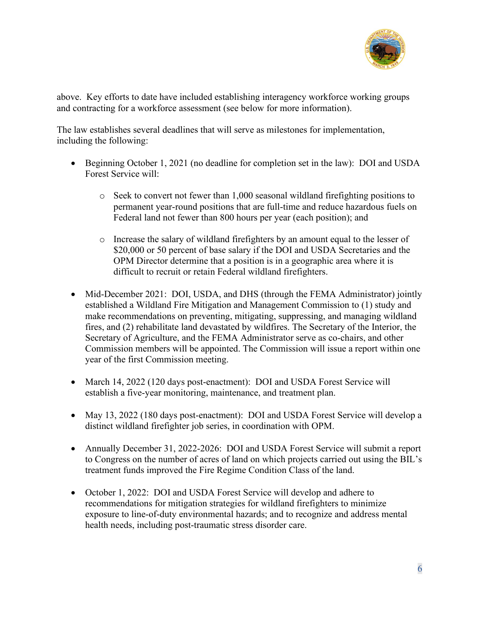

above. Key efforts to date have included establishing interagency workforce working groups and contracting for a workforce assessment (see below for more information).

The law establishes several deadlines that will serve as milestones for implementation, including the following:

- Beginning October 1, 2021 (no deadline for completion set in the law): DOI and USDA Forest Service will:
	- $\circ$  Seek to convert not fewer than 1,000 seasonal wildland firefighting positions to permanent year-round positions that are full-time and reduce hazardous fuels on Federal land not fewer than 800 hours per year (each position); and
	- o Increase the salary of wildland firefighters by an amount equal to the lesser of \$20,000 or 50 percent of base salary if the DOI and USDA Secretaries and the OPM Director determine that a position is in a geographic area where it is difficult to recruit or retain Federal wildland firefighters.
- Mid-December 2021: DOI, USDA, and DHS (through the FEMA Administrator) jointly established a Wildland Fire Mitigation and Management Commission to (1) study and make recommendations on preventing, mitigating, suppressing, and managing wildland fires, and (2) rehabilitate land devastated by wildfires. The Secretary of the Interior, the Secretary of Agriculture, and the FEMA Administrator serve as co-chairs, and other Commission members will be appointed. The Commission will issue a report within one year of the first Commission meeting.
- March 14, 2022 (120 days post-enactment): DOI and USDA Forest Service will establish a five-year monitoring, maintenance, and treatment plan.
- May 13, 2022 (180 days post-enactment): DOI and USDA Forest Service will develop a distinct wildland firefighter job series, in coordination with OPM.
- Annually December 31, 2022-2026: DOI and USDA Forest Service will submit a report to Congress on the number of acres of land on which projects carried out using the BIL's treatment funds improved the Fire Regime Condition Class of the land.
- October 1, 2022: DOI and USDA Forest Service will develop and adhere to recommendations for mitigation strategies for wildland firefighters to minimize exposure to line-of-duty environmental hazards; and to recognize and address mental health needs, including post-traumatic stress disorder care.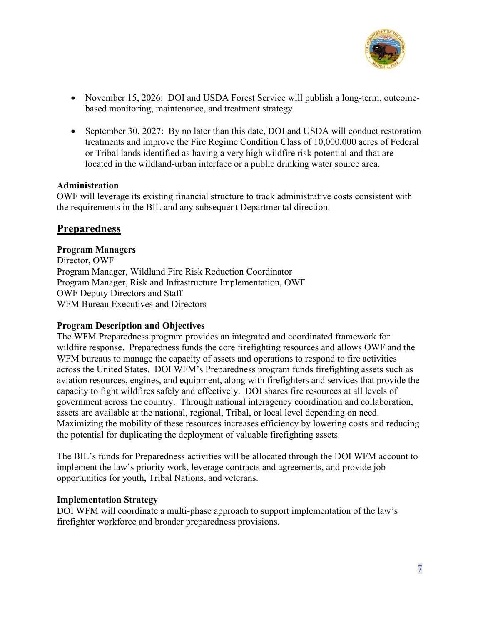

- November 15, 2026: DOI and USDA Forest Service will publish a long-term, outcomebased monitoring, maintenance, and treatment strategy.
- September 30, 2027: By no later than this date, DOI and USDA will conduct restoration treatments and improve the Fire Regime Condition Class of 10,000,000 acres of Federal or Tribal lands identified as having a very high wildfire risk potential and that are located in the wildland-urban interface or a public drinking water source area.

### **Administration**

OWF will leverage its existing financial structure to track administrative costs consistent with the requirements in the BIL and any subsequent Departmental direction.

## **Preparedness**

#### **Program Managers**

Director, OWF Program Manager, Wildland Fire Risk Reduction Coordinator Program Manager, Risk and Infrastructure Implementation, OWF OWF Deputy Directors and Staff WFM Bureau Executives and Directors

### **Program Description and Objectives**

The WFM Preparedness program provides an integrated and coordinated framework for wildfire response. Preparedness funds the core firefighting resources and allows OWF and the WFM bureaus to manage the capacity of assets and operations to respond to fire activities across the United States. DOI WFM's Preparedness program funds firefighting assets such as aviation resources, engines, and equipment, along with firefighters and services that provide the capacity to fight wildfires safely and effectively. DOI shares fire resources at all levels of government across the country. Through national interagency coordination and collaboration, assets are available at the national, regional, Tribal, or local level depending on need. Maximizing the mobility of these resources increases efficiency by lowering costs and reducing the potential for duplicating the deployment of valuable firefighting assets.

The BIL's funds for Preparedness activities will be allocated through the DOI WFM account to implement the law's priority work, leverage contracts and agreements, and provide job opportunities for youth, Tribal Nations, and veterans.

#### **Implementation Strategy**

DOI WFM will coordinate a multi-phase approach to support implementation of the law's firefighter workforce and broader preparedness provisions.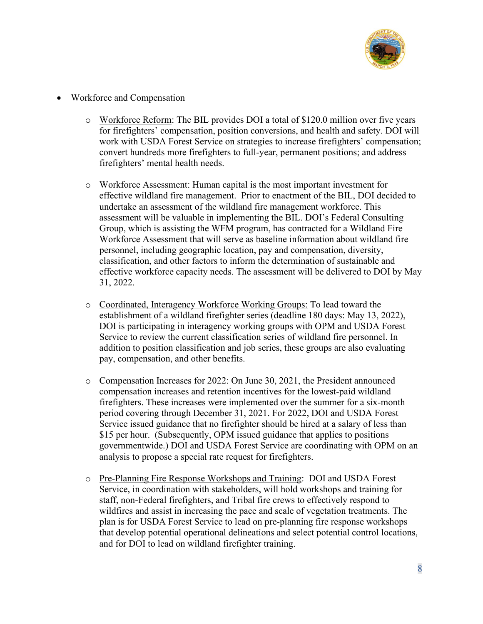

- Workforce and Compensation
	- o Workforce Reform: The BIL provides DOI a total of \$120.0 million over five years for firefighters' compensation, position conversions, and health and safety. DOI will work with USDA Forest Service on strategies to increase firefighters' compensation; convert hundreds more firefighters to full-year, permanent positions; and address firefighters' mental health needs.
	- o Workforce Assessment: Human capital is the most important investment for effective wildland fire management. Prior to enactment of the BIL, DOI decided to undertake an assessment of the wildland fire management workforce. This assessment will be valuable in implementing the BIL. DOI's Federal Consulting Group, which is assisting the WFM program, has contracted for a Wildland Fire Workforce Assessment that will serve as baseline information about wildland fire personnel, including geographic location, pay and compensation, diversity, classification, and other factors to inform the determination of sustainable and effective workforce capacity needs. The assessment will be delivered to DOI by May 31, 2022.
	- o Coordinated, Interagency Workforce Working Groups: To lead toward the establishment of a wildland firefighter series (deadline 180 days: May 13, 2022), DOI is participating in interagency working groups with OPM and USDA Forest Service to review the current classification series of wildland fire personnel. In addition to position classification and job series, these groups are also evaluating pay, compensation, and other benefits.
	- o Compensation Increases for 2022: On June 30, 2021, the President announced compensation increases and retention incentives for the lowest-paid wildland firefighters. These increases were implemented over the summer for a six-month period covering through December 31, 2021. For 2022, DOI and USDA Forest Service issued guidance that no firefighter should be hired at a salary of less than \$15 per hour. (Subsequently, OPM issued guidance that applies to positions governmentwide.) DOI and USDA Forest Service are coordinating with OPM on an analysis to propose a special rate request for firefighters.
	- o Pre-Planning Fire Response Workshops and Training: DOI and USDA Forest Service, in coordination with stakeholders, will hold workshops and training for staff, non-Federal firefighters, and Tribal fire crews to effectively respond to wildfires and assist in increasing the pace and scale of vegetation treatments. The plan is for USDA Forest Service to lead on pre-planning fire response workshops that develop potential operational delineations and select potential control locations, and for DOI to lead on wildland firefighter training.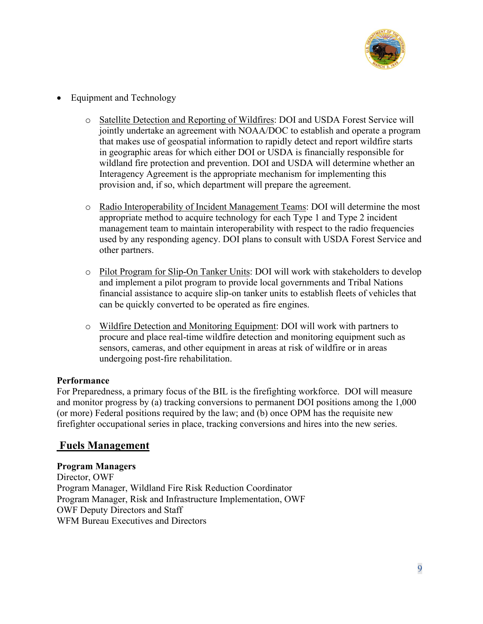

- Equipment and Technology
	- o Satellite Detection and Reporting of Wildfires: DOI and USDA Forest Service will jointly undertake an agreement with NOAA/DOC to establish and operate a program that makes use of geospatial information to rapidly detect and report wildfire starts in geographic areas for which either DOI or USDA is financially responsible for wildland fire protection and prevention. DOI and USDA will determine whether an Interagency Agreement is the appropriate mechanism for implementing this provision and, if so, which department will prepare the agreement.
	- o Radio Interoperability of Incident Management Teams: DOI will determine the most appropriate method to acquire technology for each Type 1 and Type 2 incident management team to maintain interoperability with respect to the radio frequencies used by any responding agency. DOI plans to consult with USDA Forest Service and other partners.
	- o Pilot Program for Slip-On Tanker Units: DOI will work with stakeholders to develop and implement a pilot program to provide local governments and Tribal Nations financial assistance to acquire slip-on tanker units to establish fleets of vehicles that can be quickly converted to be operated as fire engines.
	- o Wildfire Detection and Monitoring Equipment: DOI will work with partners to procure and place real-time wildfire detection and monitoring equipment such as sensors, cameras, and other equipment in areas at risk of wildfire or in areas undergoing post-fire rehabilitation.

### **Performance**

For Preparedness, a primary focus of the BIL is the firefighting workforce. DOI will measure and monitor progress by (a) tracking conversions to permanent DOI positions among the 1,000 (or more) Federal positions required by the law; and (b) once OPM has the requisite new firefighter occupational series in place, tracking conversions and hires into the new series.

## **Fuels Management**

**Program Managers**  Director, OWF Program Manager, Wildland Fire Risk Reduction Coordinator Program Manager, Risk and Infrastructure Implementation, OWF OWF Deputy Directors and Staff WFM Bureau Executives and Directors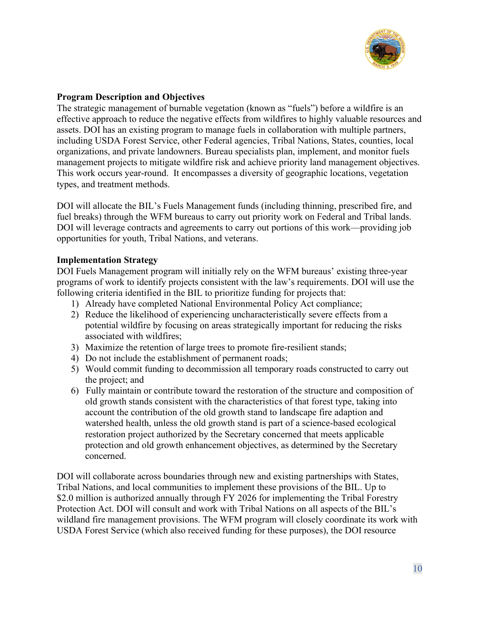

### **Program Description and Objectives**

The strategic management of burnable vegetation (known as "fuels") before a wildfire is an effective approach to reduce the negative effects from wildfires to highly valuable resources and assets. DOI has an existing program to manage fuels in collaboration with multiple partners, including USDA Forest Service, other Federal agencies, Tribal Nations, States, counties, local organizations, and private landowners. Bureau specialists plan, implement, and monitor fuels management projects to mitigate wildfire risk and achieve priority land management objectives. This work occurs year-round. It encompasses a diversity of geographic locations, vegetation types, and treatment methods.

DOI will allocate the BIL's Fuels Management funds (including thinning, prescribed fire, and fuel breaks) through the WFM bureaus to carry out priority work on Federal and Tribal lands. DOI will leverage contracts and agreements to carry out portions of this work—providing job opportunities for youth, Tribal Nations, and veterans.

### **Implementation Strategy**

DOI Fuels Management program will initially rely on the WFM bureaus' existing three-year programs of work to identify projects consistent with the law's requirements. DOI will use the following criteria identified in the BIL to prioritize funding for projects that:

- 1) Already have completed National Environmental Policy Act compliance;
- 2) Reduce the likelihood of experiencing uncharacteristically severe effects from a potential wildfire by focusing on areas strategically important for reducing the risks associated with wildfires;
- 3) Maximize the retention of large trees to promote fire-resilient stands;
- 4) Do not include the establishment of permanent roads;
- 5) Would commit funding to decommission all temporary roads constructed to carry out the project; and
- 6) Fully maintain or contribute toward the restoration of the structure and composition of old growth stands consistent with the characteristics of that forest type, taking into account the contribution of the old growth stand to landscape fire adaption and watershed health, unless the old growth stand is part of a science-based ecological restoration project authorized by the Secretary concerned that meets applicable protection and old growth enhancement objectives, as determined by the Secretary concerned.

DOI will collaborate across boundaries through new and existing partnerships with States, Tribal Nations, and local communities to implement these provisions of the BIL. Up to \$2.0 million is authorized annually through FY 2026 for implementing the Tribal Forestry Protection Act. DOI will consult and work with Tribal Nations on all aspects of the BIL's wildland fire management provisions. The WFM program will closely coordinate its work with USDA Forest Service (which also received funding for these purposes), the DOI resource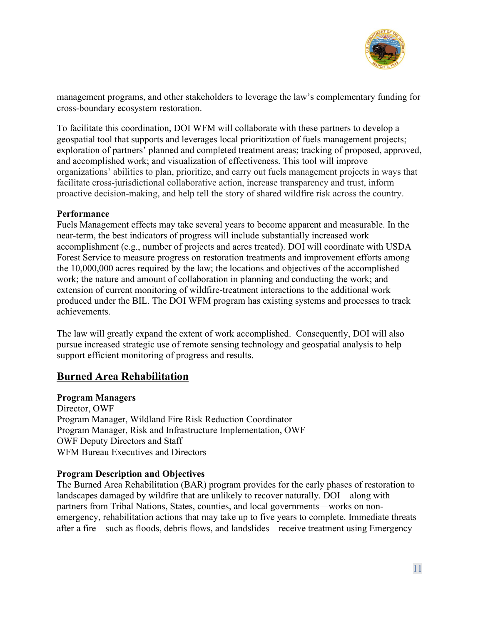

management programs, and other stakeholders to leverage the law's complementary funding for cross-boundary ecosystem restoration.

To facilitate this coordination, DOI WFM will collaborate with these partners to develop a geospatial tool that supports and leverages local prioritization of fuels management projects; exploration of partners' planned and completed treatment areas; tracking of proposed, approved, and accomplished work; and visualization of effectiveness. This tool will improve organizations' abilities to plan, prioritize, and carry out fuels management projects in ways that facilitate cross-jurisdictional collaborative action, increase transparency and trust, inform proactive decision-making, and help tell the story of shared wildfire risk across the country.

### **Performance**

Fuels Management effects may take several years to become apparent and measurable. In the near-term, the best indicators of progress will include substantially increased work accomplishment (e.g., number of projects and acres treated). DOI will coordinate with USDA Forest Service to measure progress on restoration treatments and improvement efforts among the 10,000,000 acres required by the law; the locations and objectives of the accomplished work; the nature and amount of collaboration in planning and conducting the work; and extension of current monitoring of wildfire-treatment interactions to the additional work produced under the BIL. The DOI WFM program has existing systems and processes to track achievements.

The law will greatly expand the extent of work accomplished. Consequently, DOI will also pursue increased strategic use of remote sensing technology and geospatial analysis to help support efficient monitoring of progress and results.

## **Burned Area Rehabilitation**

### **Program Managers**

Director, OWF Program Manager, Wildland Fire Risk Reduction Coordinator Program Manager, Risk and Infrastructure Implementation, OWF OWF Deputy Directors and Staff WFM Bureau Executives and Directors

### **Program Description and Objectives**

The Burned Area Rehabilitation (BAR) program provides for the early phases of restoration to landscapes damaged by wildfire that are unlikely to recover naturally. DOI—along with partners from Tribal Nations, States, counties, and local governments—works on nonemergency, rehabilitation actions that may take up to five years to complete. Immediate threats after a fire—such as floods, debris flows, and landslides—receive treatment using Emergency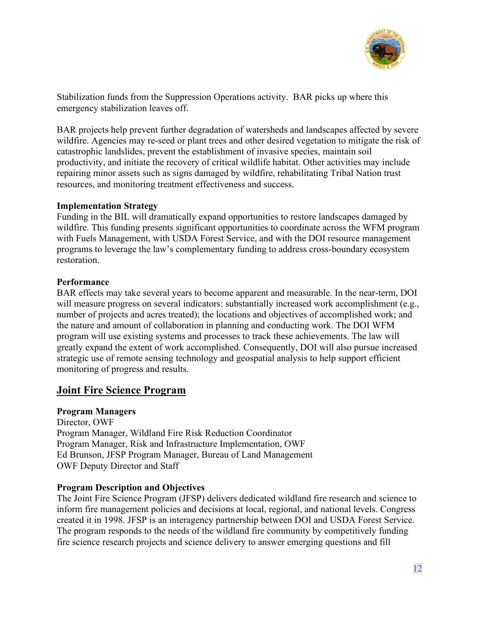

Stabilization funds from the Suppression Operations activity. BAR picks up where this emergency stabilization leaves off.

BAR projects help prevent further degradation of watersheds and landscapes affected by severe wildfire. Agencies may re-seed or plant trees and other desired vegetation to mitigate the risk of catastrophic landslides, prevent the establishment of invasive species, maintain soil productivity, and initiate the recovery of critical wildlife habitat. Other activities may include repairing minor assets such as signs damaged by wildfire, rehabilitating Tribal Nation trust resources, and monitoring treatment effectiveness and success.

### **Implementation Strategy**

Funding in the BIL will dramatically expand opportunities to restore landscapes damaged by wildfire. This funding presents significant opportunities to coordinate across the WFM program with Fuels Management, with USDA Forest Service, and with the DOI resource management programs to leverage the law's complementary funding to address cross-boundary ecosystem restoration.

### **Performance**

BAR effects may take several years to become apparent and measurable. In the near-term, DOI will measure progress on several indicators: substantially increased work accomplishment (e.g., number of projects and acres treated); the locations and objectives of accomplished work; and the nature and amount of collaboration in planning and conducting work. The DOI WFM program will use existing systems and processes to track these achievements. The law will greatly expand the extent of work accomplished. Consequently, DOI will also pursue increased strategic use of remote sensing technology and geospatial analysis to help support efficient monitoring of progress and results.

## **Joint Fire Science Program**

### **Program Managers**

Director, OWF Program Manager, Wildland Fire Risk Reduction Coordinator Program Manager, Risk and Infrastructure Implementation, OWF Ed Brunson, JFSP Program Manager, Bureau of Land Management OWF Deputy Director and Staff

### **Program Description and Objectives**

The Joint Fire Science Program (JFSP) delivers dedicated wildland fire research and science to inform fire management policies and decisions at local, regional, and national levels. Congress created it in 1998. JFSP is an interagency partnership between DOI and USDA Forest Service. The program responds to the needs of the wildland fire community by competitively funding fire science research projects and science delivery to answer emerging questions and fill